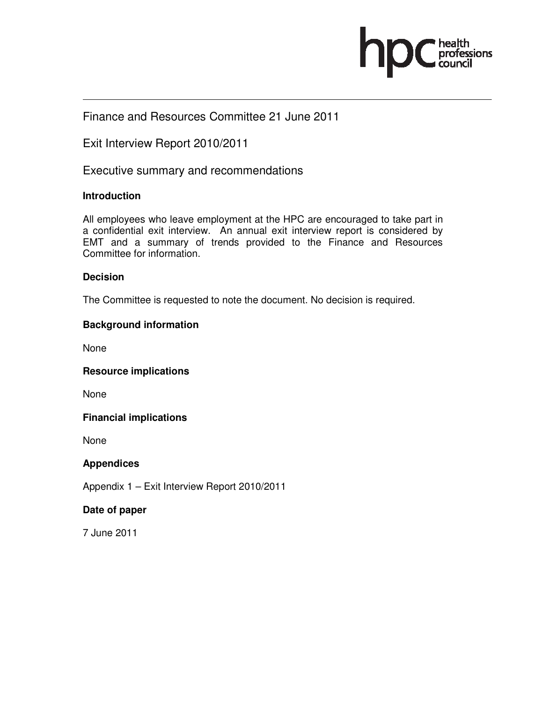

## Finance and Resources Committee 21 June 2011

Exit Interview Report 2010/2011

Executive summary and recommendations

## **Introduction**

All employees who leave employment at the HPC are encouraged to take part in a confidential exit interview. An annual exit interview report is considered by EMT and a summary of trends provided to the Finance and Resources Committee for information.

## **Decision**

The Committee is requested to note the document. No decision is required.

## **Background information**

None

**Resource implications** 

None

### **Financial implications**

None

### **Appendices**

Appendix 1 – Exit Interview Report 2010/2011

### **Date of paper**

7 June 2011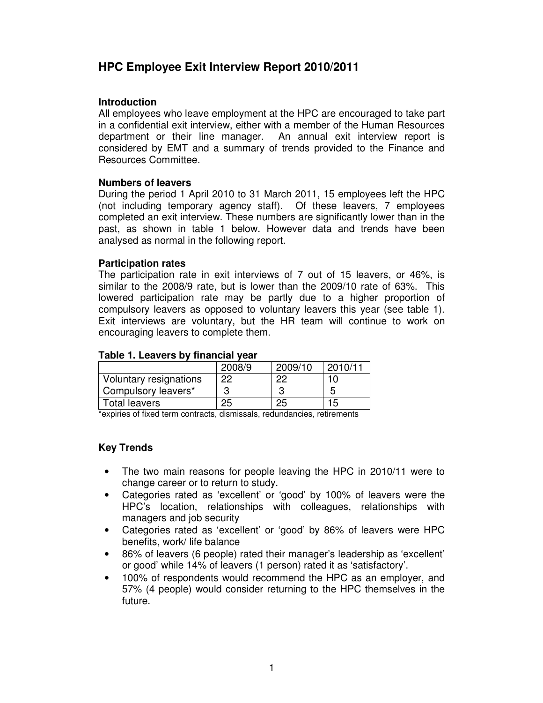## **HPC Employee Exit Interview Report 2010/2011**

#### **Introduction**

All employees who leave employment at the HPC are encouraged to take part in a confidential exit interview, either with a member of the Human Resources department or their line manager. An annual exit interview report is considered by EMT and a summary of trends provided to the Finance and Resources Committee.

#### **Numbers of leavers**

During the period 1 April 2010 to 31 March 2011, 15 employees left the HPC (not including temporary agency staff). Of these leavers, 7 employees completed an exit interview. These numbers are significantly lower than in the past, as shown in table 1 below. However data and trends have been analysed as normal in the following report.

#### **Participation rates**

The participation rate in exit interviews of 7 out of 15 leavers, or 46%, is similar to the 2008/9 rate, but is lower than the 2009/10 rate of 63%. This lowered participation rate may be partly due to a higher proportion of compulsory leavers as opposed to voluntary leavers this year (see table 1). Exit interviews are voluntary, but the HR team will continue to work on encouraging leavers to complete them.

#### **Table 1. Leavers by financial year**

|                        | 2008/9 | 2009/10 | 2010/11 |
|------------------------|--------|---------|---------|
| Voluntary resignations | 22     | ററ      |         |
| Compulsory leavers*    |        |         |         |
| Total leavers          | 25     |         |         |
|                        |        |         |         |

\*expiries of fixed term contracts, dismissals, redundancies, retirements

### **Key Trends**

- The two main reasons for people leaving the HPC in 2010/11 were to change career or to return to study.
- Categories rated as 'excellent' or 'good' by 100% of leavers were the HPC's location, relationships with colleagues, relationships with managers and job security
- Categories rated as 'excellent' or 'good' by 86% of leavers were HPC benefits, work/ life balance
- 86% of leavers (6 people) rated their manager's leadership as 'excellent' or good' while 14% of leavers (1 person) rated it as 'satisfactory'.
- 100% of respondents would recommend the HPC as an employer, and 57% (4 people) would consider returning to the HPC themselves in the future.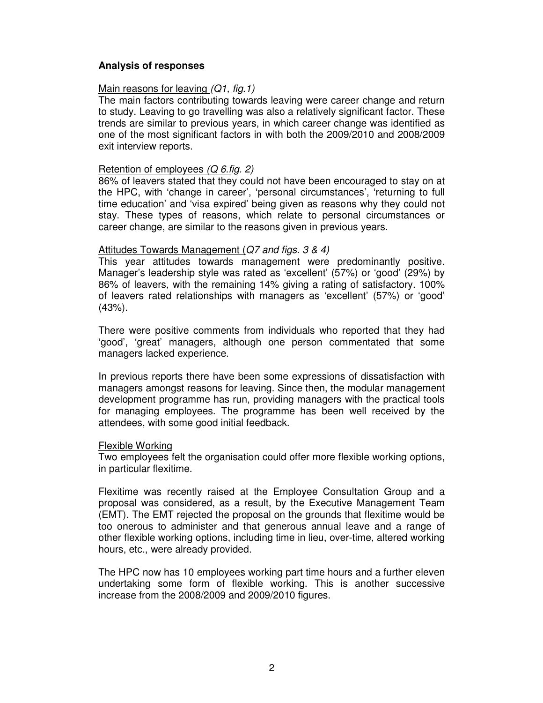#### **Analysis of responses**

#### Main reasons for leaving (Q1, fig. 1)

The main factors contributing towards leaving were career change and return to study. Leaving to go travelling was also a relatively significant factor. These trends are similar to previous years, in which career change was identified as one of the most significant factors in with both the 2009/2010 and 2008/2009 exit interview reports.

#### Retention of employees (Q 6.fig. 2)

86% of leavers stated that they could not have been encouraged to stay on at the HPC, with 'change in career', 'personal circumstances', 'returning to full time education' and 'visa expired' being given as reasons why they could not stay. These types of reasons, which relate to personal circumstances or career change, are similar to the reasons given in previous years.

#### Attitudes Towards Management (Q7 and figs. 3 & 4)

This year attitudes towards management were predominantly positive. Manager's leadership style was rated as 'excellent' (57%) or 'good' (29%) by 86% of leavers, with the remaining 14% giving a rating of satisfactory. 100% of leavers rated relationships with managers as 'excellent' (57%) or 'good' (43%).

There were positive comments from individuals who reported that they had 'good', 'great' managers, although one person commentated that some managers lacked experience.

In previous reports there have been some expressions of dissatisfaction with managers amongst reasons for leaving. Since then, the modular management development programme has run, providing managers with the practical tools for managing employees. The programme has been well received by the attendees, with some good initial feedback.

#### Flexible Working

Two employees felt the organisation could offer more flexible working options, in particular flexitime.

Flexitime was recently raised at the Employee Consultation Group and a proposal was considered, as a result, by the Executive Management Team (EMT). The EMT rejected the proposal on the grounds that flexitime would be too onerous to administer and that generous annual leave and a range of other flexible working options, including time in lieu, over-time, altered working hours, etc., were already provided.

The HPC now has 10 employees working part time hours and a further eleven undertaking some form of flexible working. This is another successive increase from the 2008/2009 and 2009/2010 figures.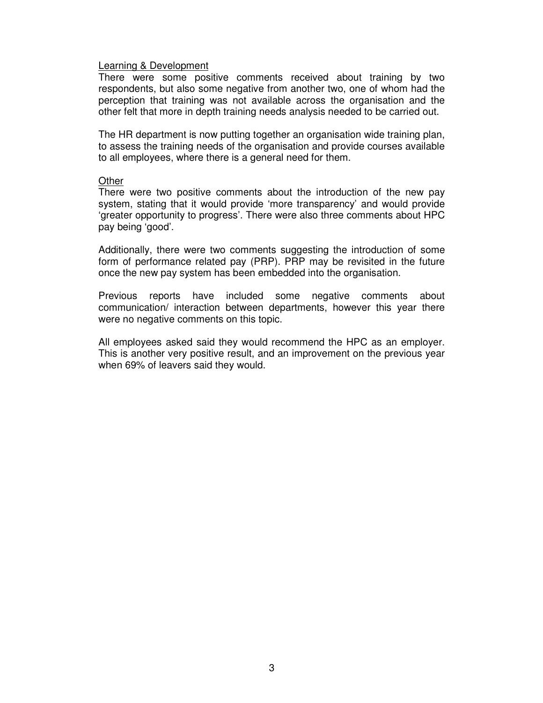#### Learning & Development

There were some positive comments received about training by two respondents, but also some negative from another two, one of whom had the perception that training was not available across the organisation and the other felt that more in depth training needs analysis needed to be carried out.

The HR department is now putting together an organisation wide training plan, to assess the training needs of the organisation and provide courses available to all employees, where there is a general need for them.

#### **Other**

There were two positive comments about the introduction of the new pay system, stating that it would provide 'more transparency' and would provide 'greater opportunity to progress'. There were also three comments about HPC pay being 'good'.

Additionally, there were two comments suggesting the introduction of some form of performance related pay (PRP). PRP may be revisited in the future once the new pay system has been embedded into the organisation.

Previous reports have included some negative comments about communication/ interaction between departments, however this year there were no negative comments on this topic.

All employees asked said they would recommend the HPC as an employer. This is another very positive result, and an improvement on the previous year when 69% of leavers said they would.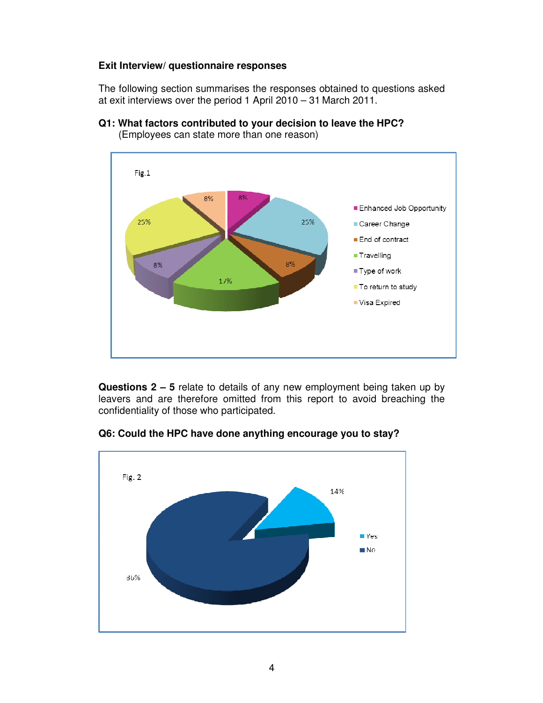## **Exit Interview/ questionnaire responses**

The following section summarises the responses obtained to questions asked at exit interviews over the period 1 April 2010 – 31 March 2011.



**Q1: What factors contributed to your decision to leave the HPC?** 

(Employees can state more than one reason)

**Questions 2 – 5** relate to details of any new employment being taken up by leavers and are therefore omitted from this report to avoid breaching the confidentiality of those who participated.



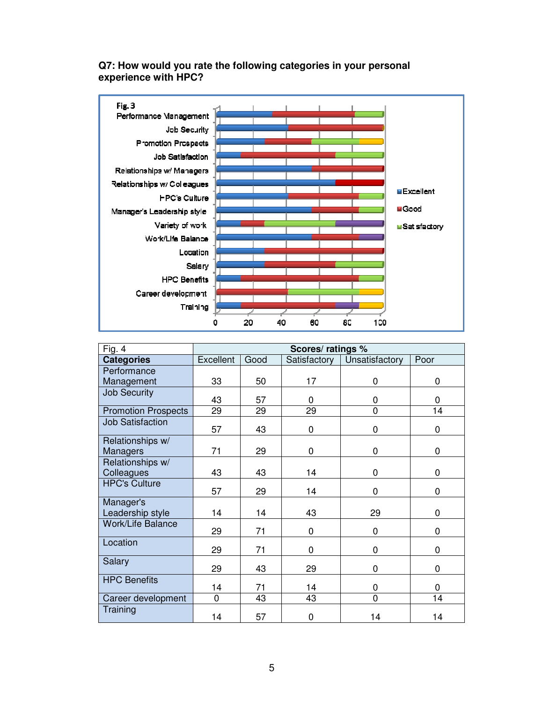## **Q7: How would you rate the following categories in your personal experience with HPC?**



| Fig. 4                              | Scores/ ratings % |      |              |                |      |  |
|-------------------------------------|-------------------|------|--------------|----------------|------|--|
| <b>Categories</b>                   | Excellent         | Good | Satisfactory | Unsatisfactory | Poor |  |
| Performance                         |                   |      |              |                |      |  |
| Management                          | 33                | 50   | 17           | 0              | 0    |  |
| <b>Job Security</b>                 | 43                | 57   | 0            | 0              | 0    |  |
| <b>Promotion Prospects</b>          | 29                | 29   | 29           | $\mathbf 0$    | 14   |  |
| <b>Job Satisfaction</b>             | 57                | 43   | 0            | 0              | 0    |  |
| Relationships w/<br><b>Managers</b> | 71                | 29   | 0            | 0              | 0    |  |
| Relationships w/                    |                   |      |              |                |      |  |
| Colleagues                          | 43                | 43   | 14           | $\mathbf 0$    | 0    |  |
| <b>HPC's Culture</b>                | 57                | 29   | 14           | 0              | 0    |  |
| Manager's<br>Leadership style       | 14                | 14   | 43           | 29             | 0    |  |
| <b>Work/Life Balance</b>            | 29                | 71   | 0            | $\mathbf 0$    | 0    |  |
| Location                            | 29                | 71   | 0            | $\mathbf 0$    | 0    |  |
| Salary                              | 29                | 43   | 29           | 0              | 0    |  |
| <b>HPC Benefits</b>                 | 14                | 71   | 14           | 0              | 0    |  |
| Career development                  | 0                 | 43   | 43           | $\overline{0}$ | 14   |  |
| Training                            | 14                | 57   | 0            | 14             | 14   |  |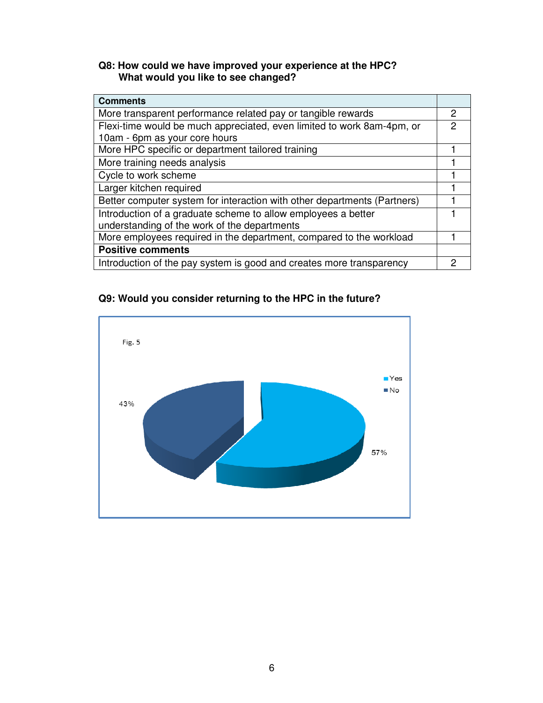## **Q8: How could we have improved your experience at the HPC? What would you like to see changed?**

| <b>Comments</b>                                                          |   |  |
|--------------------------------------------------------------------------|---|--|
| More transparent performance related pay or tangible rewards             |   |  |
| Flexi-time would be much appreciated, even limited to work 8am-4pm, or   |   |  |
| 10am - 6pm as your core hours                                            |   |  |
| More HPC specific or department tailored training                        |   |  |
| More training needs analysis                                             |   |  |
| Cycle to work scheme                                                     |   |  |
| Larger kitchen required                                                  |   |  |
| Better computer system for interaction with other departments (Partners) |   |  |
| Introduction of a graduate scheme to allow employees a better            |   |  |
| understanding of the work of the departments                             |   |  |
| More employees required in the department, compared to the workload      |   |  |
| <b>Positive comments</b>                                                 |   |  |
| Introduction of the pay system is good and creates more transparency     | 2 |  |

## **Q9: Would you consider returning to the HPC in the future?**